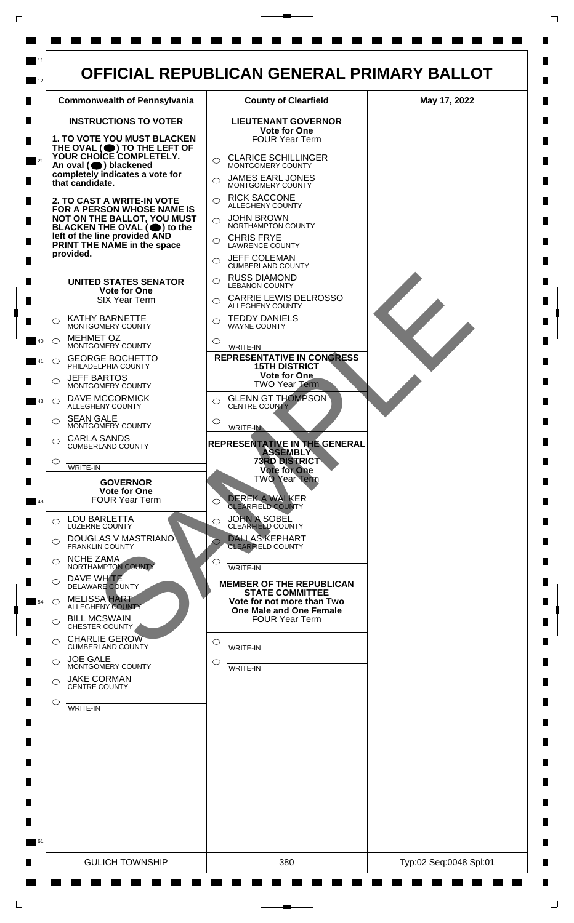

 $\mathsf{L}$